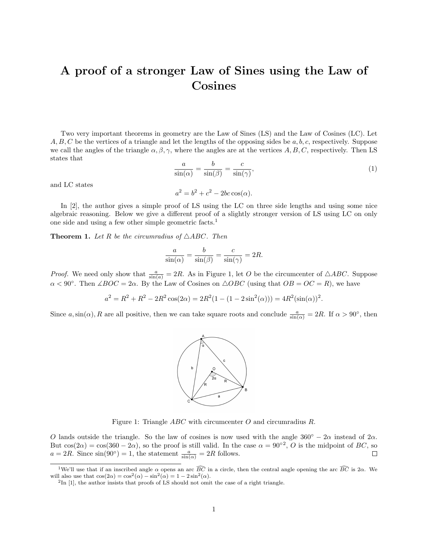## A proof of a stronger Law of Sines using the Law of Cosines

Two very important theorems in geometry are the Law of Sines (LS) and the Law of Cosines (LC). Let  $A, B, C$  be the vertices of a triangle and let the lengths of the opposing sides be  $a, b, c$ , respectively. Suppose we call the angles of the triangle  $\alpha, \beta, \gamma$ , where the angles are at the vertices A, B, C, respectively. Then LS states that

$$
\frac{a}{\sin(\alpha)} = \frac{b}{\sin(\beta)} = \frac{c}{\sin(\gamma)},\tag{1}
$$

and LC states

$$
a^2 = b^2 + c^2 - 2bc \cos(\alpha).
$$

a

In [2], the author gives a simple proof of LS using the LC on three side lengths and using some nice algebraic reasoning. Below we give a different proof of a slightly stronger version of LS using LC on only one side and using a few other simple geometric facts.<sup>1</sup>

**Theorem 1.** Let R be the circumradius of  $\triangle ABC$ . Then

$$
\frac{a}{\sin(\alpha)} = \frac{b}{\sin(\beta)} = \frac{c}{\sin(\gamma)} = 2R.
$$

*Proof.* We need only show that  $\frac{a}{\sin(a)} = 2R$ . As in Figure 1, let O be the circumcenter of  $\triangle ABC$ . Suppose  $\alpha < 90^{\circ}$ . Then  $\angle BOC = 2\alpha$ . By the Law of Cosines on  $\triangle OBC$  (using that  $OB = OC = R$ ), we have

$$
a^{2} = R^{2} + R^{2} - 2R^{2} \cos(2\alpha) = 2R^{2}(1 - (1 - 2\sin^{2}(\alpha))) = 4R^{2}(\sin(\alpha))^{2}.
$$

Since a,  $\sin(\alpha)$ , R are all positive, then we can take square roots and conclude  $\frac{a}{\sin(\alpha)} = 2R$ . If  $\alpha > 90^{\circ}$ , then



Figure 1: Triangle ABC with circumcenter O and circumradius R.

O lands outside the triangle. So the law of cosines is now used with the angle  $360° - 2\alpha$  instead of  $2\alpha$ . But  $cos(2\alpha) = cos(360 - 2\alpha)$ , so the proof is still valid. In the case  $\alpha = 90^{\circ 2}$ , O is the midpoint of BC, so  $a = 2R$ . Since  $\sin(90^\circ) = 1$ , the statement  $\frac{a}{\sin(\alpha)} = 2R$  follows.  $\Box$ 

<sup>&</sup>lt;sup>1</sup>We'll use that if an inscribed angle  $\alpha$  opens an arc  $\widehat{BC}$  in a circle, then the central angle opening the arc  $\widehat{BC}$  is 2 $\alpha$ . We will also use that  $\cos(2\alpha) = \cos^2(\alpha) - \sin^2(\alpha) = 1 - 2\sin^2(\alpha)$ .

<sup>&</sup>lt;sup>2</sup>In [1], the author insists that proofs of LS should not omit the case of a right triangle.